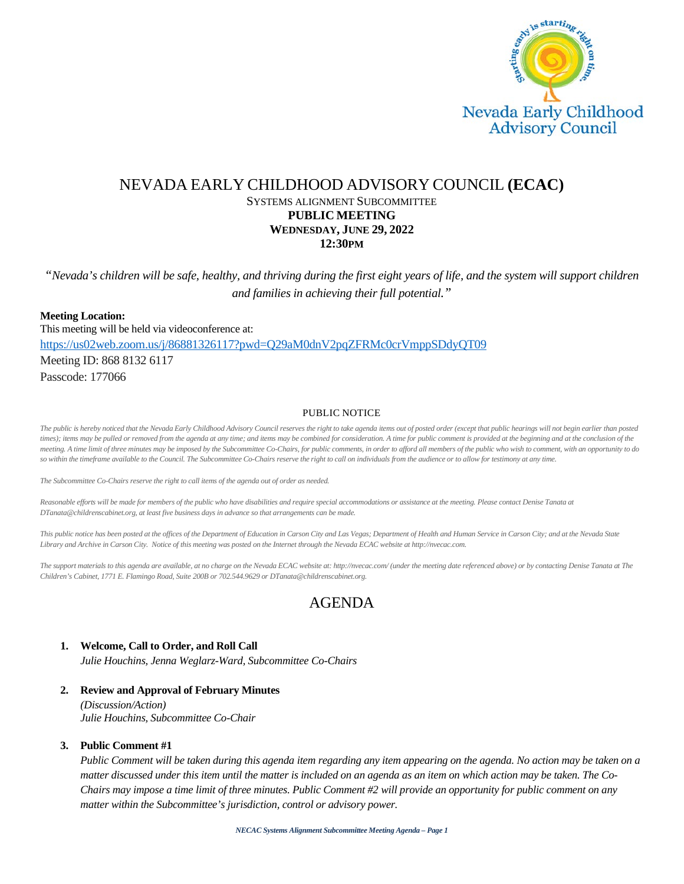

# NEVADA EARLY CHILDHOOD ADVISORY COUNCIL **(ECAC)** SYSTEMS ALIGNMENT SUBCOMMITTEE **PUBLIC MEETING WEDNESDAY, JUNE 29, 2022 12:30PM**

*"Nevada's children will be safe, healthy, and thriving during the first eight years of life, and the system will support children and families in achieving their full potential."*

**Meeting Location:** This meeting will be held via videoconference at: <https://us02web.zoom.us/j/86881326117?pwd=Q29aM0dnV2pqZFRMc0crVmppSDdyQT09> Meeting ID: 868 8132 6117 Passcode: 177066

#### PUBLIC NOTICE

*The public is hereby noticed that the Nevada Early Childhood Advisory Council reserves the right to take agenda items out of posted order (except that public hearings will not begin earlier than posted times); items may be pulled or removed from the agenda at any time; and items may be combined for consideration. A time for public comment is provided at the beginning and at the conclusion of the meeting. A time limit of three minutes may be imposed by the Subcommittee Co-Chairs, for public comments, in order to afford all members of the public who wish to comment, with an opportunity to do*  so within the timeframe available to the Council. The Subcommittee Co-Chairs reserve the right to call on individuals from the audience or to allow for testimony at any time.

*The Subcommittee Co-Chairs reserve the right to call items of the agenda out of order as needed.*

Reasonable efforts will be made for members of the public who have disabilities and require special accommodations or assistance at the meeting. Please contact Denise Tanata at *DTanata@childrenscabinet.org, at least five business days in advance so that arrangements can be made.*

This public notice has been posted at the offices of the Department of Education in Carson City and Las Vegas; Department of Health and Human Service in Carson City; and at the Nevada State *Library and Archive in Carson City. Notice of this meeting was posted on the Internet through the Nevada ECAC website at http://nvecac.com.*

*The support materials to this agenda are available, at no charge on the Nevada ECAC website at: http://nvecac.com/ (under the meeting date referenced above) or by contacting Denise Tanata at The Children's Cabinet, 1771 E. Flamingo Road, Suite 200B or 702.544.9629 or DTanata@childrenscabinet.org.*

# AGENDA

#### **1. Welcome, Call to Order, and Roll Call**

*Julie Houchins, Jenna Weglarz-Ward, Subcommittee Co-Chairs*

**2. Review and Approval of February Minutes**

*(Discussion/Action) Julie Houchins, Subcommittee Co-Chair*

#### **3. Public Comment #1**

*Public Comment will be taken during this agenda item regarding any item appearing on the agenda. No action may be taken on a matter discussed under this item until the matter is included on an agenda as an item on which action may be taken. The Co-Chairs may impose a time limit of three minutes. Public Comment #2 will provide an opportunity for public comment on any matter within the Subcommittee's jurisdiction, control or advisory power.*